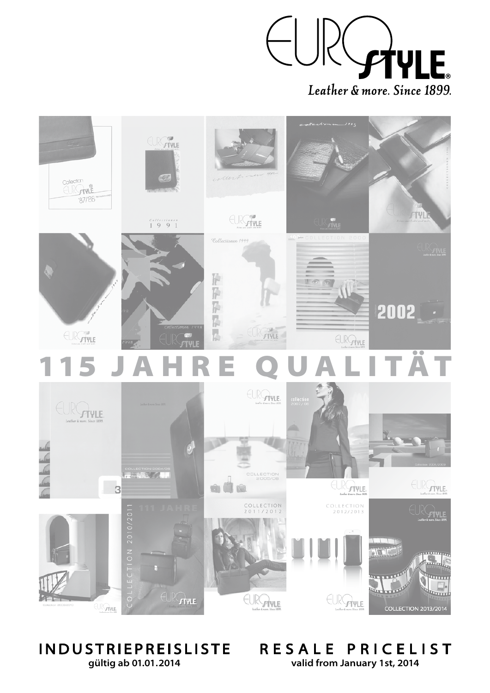



## IN DUSTRIEP REISLISTE **gültig ab 01.01.2014**

RESALE PRICELIST **valid from January 1st, 2014**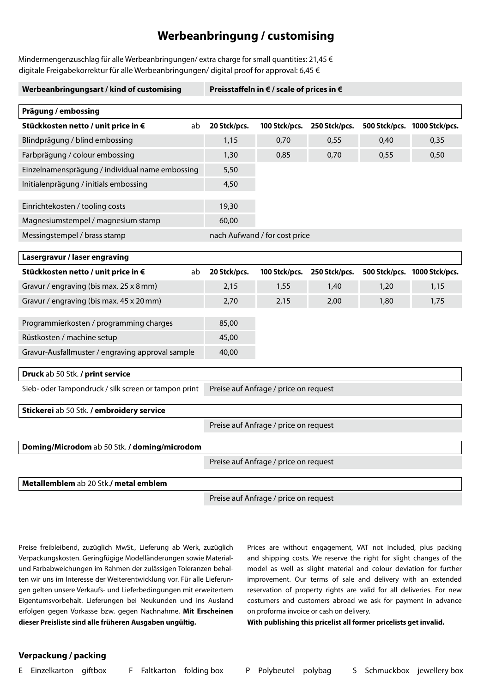## **Werbeanbringung / customising**

Mindermengenzuschlag für alle Werbeanbringungen/ extra charge for small quantities: 21,45  $\epsilon$ digitale Freigabekorrektur für alle Werbeanbringungen/ digital proof for approval: 6,45 €

| Werbeanbringungsart / kind of customising            |    | Preisstaffeln in € / scale of prices in € |                                       |               |      |                              |  |
|------------------------------------------------------|----|-------------------------------------------|---------------------------------------|---------------|------|------------------------------|--|
| Prägung / embossing                                  |    |                                           |                                       |               |      |                              |  |
| Stückkosten netto / unit price in €                  | ab | 20 Stck/pcs.                              | 100 Stck/pcs.                         | 250 Stck/pcs. |      | 500 Stck/pcs. 1000 Stck/pcs. |  |
| Blindprägung / blind embossing                       |    | 1,15                                      | 0,70                                  | 0,55          | 0,40 | 0,35                         |  |
| Farbprägung / colour embossing                       |    | 1,30                                      | 0,85                                  | 0,70          | 0,55 | 0,50                         |  |
| Einzelnamensprägung / individual name embossing      |    | 5,50                                      |                                       |               |      |                              |  |
| Initialenprägung / initials embossing                |    | 4,50                                      |                                       |               |      |                              |  |
|                                                      |    |                                           |                                       |               |      |                              |  |
| Einrichtekosten / tooling costs                      |    | 19,30                                     |                                       |               |      |                              |  |
| Magnesiumstempel / magnesium stamp                   |    | 60,00                                     |                                       |               |      |                              |  |
| Messingstempel / brass stamp                         |    |                                           | nach Aufwand / for cost price         |               |      |                              |  |
| Lasergravur / laser engraving                        |    |                                           |                                       |               |      |                              |  |
| Stückkosten netto / unit price in €                  | ab | 20 Stck/pcs.                              | 100 Stck/pcs.                         | 250 Stck/pcs. |      | 500 Stck/pcs. 1000 Stck/pcs. |  |
| Gravur / engraving (bis max. 25 x 8 mm)              |    | 2,15                                      | 1,55                                  | 1,40          | 1,20 | 1,15                         |  |
| Gravur / engraving (bis max. 45 x 20 mm)             |    | 2,70                                      | 2,15                                  | 2,00          | 1,80 | 1,75                         |  |
|                                                      |    |                                           |                                       |               |      |                              |  |
| Programmierkosten / programming charges              |    | 85,00                                     |                                       |               |      |                              |  |
| Rüstkosten / machine setup                           |    | 45,00                                     |                                       |               |      |                              |  |
| Gravur-Ausfallmuster / engraving approval sample     |    | 40,00                                     |                                       |               |      |                              |  |
| Druck ab 50 Stk. / print service                     |    |                                           |                                       |               |      |                              |  |
| Sieb- oder Tampondruck / silk screen or tampon print |    |                                           | Preise auf Anfrage / price on request |               |      |                              |  |
| Stickerei ab 50 Stk. / embroidery service            |    |                                           |                                       |               |      |                              |  |
|                                                      |    |                                           |                                       |               |      |                              |  |
|                                                      |    |                                           | Preise auf Anfrage / price on request |               |      |                              |  |
| Doming/Microdom ab 50 Stk. / doming/microdom         |    |                                           |                                       |               |      |                              |  |
|                                                      |    |                                           | Preise auf Anfrage / price on request |               |      |                              |  |
| Metallemblem ab 20 Stk./ metal emblem                |    |                                           |                                       |               |      |                              |  |

Preise auf Anfrage / price on request

Preise freibleibend, zuzüglich MwSt., Lieferung ab Werk, zuzüglich Verpackungskosten. Geringfügige Modelländerungen sowie Materialund Farbabweichungen im Rahmen der zulässigen Toleranzen behalten wir uns im Interesse der Weiterentwicklung vor. Für alle Lieferungen gelten unsere Verkaufs- und Lieferbedingungen mit erweitertem Eigentumsvorbehalt. Lieferungen bei Neukunden und ins Ausland erfolgen gegen Vorkasse bzw. gegen Nachnahme. **Mit Erscheinen dieser Preisliste sind alle früheren Ausgaben ungültig.**

Prices are without engagement, VAT not included, plus packing and shipping costs. We reserve the right for slight changes of the model as well as slight material and colour deviation for further improvement. Our terms of sale and delivery with an extended reservation of property rights are valid for all deliveries. For new costumers and customers abroad we ask for payment in advance on proforma invoice or cash on delivery.

**With publishing this pricelist all former pricelists get invalid.**

## **Verpackung / packing**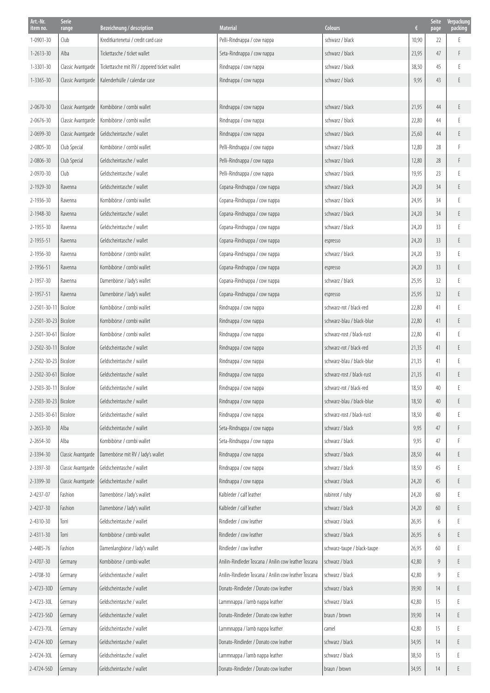| Art.-Nr.<br>item no.    | Serie              | Bezeichnung / description                    | <b>Material</b>                                       | <b>Colours</b>              | €     | <b>Seite</b> | Verpackung<br>packing |
|-------------------------|--------------------|----------------------------------------------|-------------------------------------------------------|-----------------------------|-------|--------------|-----------------------|
| 1-0901-30               | range<br>Club      | Kreditkartenetui / credit card case          | Pelli-Rindnappa / cow nappa                           | schwarz / black             | 10,90 | page<br>22   | E                     |
| $1 - 2613 - 30$         | Alba               | Tickettasche / ticket wallet                 | Seta-Rindnappa / cow nappa                            | schwarz / black             | 23,95 | 47           | F.                    |
| $1 - 3301 - 30$         | Classic Avantgarde | Tickettasche mit RV / zippered ticket wallet | Rindnappa / cow nappa                                 | schwarz / black             | 38,50 | 45           | E                     |
| $1 - 3365 - 30$         | Classic Avantgarde | Kalenderhülle / calendar case                | Rindnappa / cow nappa                                 | schwarz / black             | 9,95  | 43           | E                     |
|                         |                    |                                              |                                                       |                             |       |              |                       |
| 2-0670-30               | Classic Avantgarde | Kombibörse / combi wallet                    | Rindnappa / cow nappa                                 | schwarz / black             | 21,95 | 44           | E.                    |
| 2-0676-30               | Classic Avantgarde | Kombibörse / combi wallet                    | Rindnappa / cow nappa                                 | schwarz / black             | 22,80 | 44           | F                     |
| 2-0699-30               | Classic Avantgarde | Geldscheintasche / wallet                    | Rindnappa / cow nappa                                 | schwarz / black             | 25,60 | 44           | E                     |
| 2-0805-30               | Club Special       | Kombibörse / combi wallet                    | Pelli-Rindnappa / cow nappa                           | schwarz / black             | 12,80 | 28           |                       |
| 2-0806-30               | Club Special       | Geldscheintasche / wallet                    | Pelli-Rindnappa / cow nappa                           | schwarz / black             | 12,80 | 28           | F                     |
| 2-0970-30               | Club               | Geldscheintasche / wallet                    | Pelli-Rindnappa / cow nappa                           | schwarz / black             | 19,95 | 23           | F                     |
| 2-1929-30               | Ravenna            | Geldscheintasche / wallet                    | Copana-Rindnappa / cow nappa                          | schwarz / black             | 24,20 | 34           | E.                    |
| 2-1936-30               | Ravenna            | Kombibörse / combi wallet                    | Copana-Rindnappa / cow nappa                          | schwarz / black             | 24,95 | 34           | F                     |
| 2-1948-30               | Ravenna            | Geldscheintasche / wallet                    | Copana-Rindnappa / cow nappa                          | schwarz / black             | 24,20 | 34           | E.                    |
| 2-1955-30               | Ravenna            | Geldscheintasche / wallet                    | Copana-Rindnappa / cow nappa                          | schwarz / black             | 24,20 | 33           | F                     |
| 2-1955-51               | Ravenna            | Geldscheintasche / wallet                    | Copana-Rindnappa / cow nappa                          | espresso                    | 24,20 | 33           | E                     |
| 2-1956-30               | Ravenna            | Kombibörse / combi wallet                    | Copana-Rindnappa / cow nappa                          | schwarz / black             | 24,20 | 33           | F                     |
| 2-1956-51               | Ravenna            | Kombibörse / combi wallet                    | Copana-Rindnappa / cow nappa                          | espresso                    | 24,20 | 33           | E                     |
| 2-1957-30               | Ravenna            | Damenbörse / lady's wallet                   | Copana-Rindnappa / cow nappa                          | schwarz / black             | 25,95 | 32           | F                     |
| 2-1957-51               | Ravenna            | Damenbörse / lady's wallet                   | Copana-Rindnappa / cow nappa                          | espresso                    | 25,95 | 32           | E                     |
| 2-2501-30-11            | Bicolore           | Kombibörse / combi wallet                    | Rindnappa / cow nappa                                 | schwarz-rot / black-red     | 22,80 | 41           | F                     |
| 2-2501-30-23 Bicolore   |                    | Kombibörse / combi wallet                    | Rindnappa / cow nappa                                 | schwarz-blau / black-blue   | 22,80 | 41           | E.                    |
| 2-2501-30-61 Bicolore   |                    | Kombibörse / combi wallet                    | Rindnappa / cow nappa                                 | schwarz-rost / black-rust   | 22,80 | 41           | F                     |
| 2-2502-30-11 Bicolore   |                    | Geldscheintasche / wallet                    | Rindnappa / cow nappa                                 | schwarz-rot / black-red     | 21,35 | 41           | E                     |
| 2-2502-30-23 Bicolore   |                    | Geldscheintasche / wallet                    | Rindnappa / cow nappa                                 | schwarz-blau / black-blue   | 21,35 | 41           |                       |
| 2-2502-30-61 Bicolore   |                    | Geldscheintasche / wallet                    | Rindnappa / cow nappa                                 | schwarz-rost / black-rust   | 21,35 | 41           | E                     |
| 2-2503-30-11 Bicolore   |                    | Geldscheintasche / wallet                    | Rindnappa / cow nappa                                 | schwarz-rot / black-red     | 18,50 | $40\,$       |                       |
| 2-2503-30-23   Bicolore |                    | Geldscheintasche / wallet                    | Rindnappa / cow nappa                                 | schwarz-blau / black-blue   | 18,50 | 40           | E                     |
| 2-2503-30-61 Bicolore   |                    | Geldscheintasche / wallet                    | Rindnappa / cow nappa                                 | schwarz-rost / black-rust   | 18,50 | 40           |                       |
| 2-2653-30               | Alba               | Geldscheintasche / wallet                    | Seta-Rindnappa / cow nappa                            | schwarz / black             | 9,95  | 47           |                       |
| $2 - 2654 - 30$         | Alba               | Kombibörse / combi wallet                    | Seta-Rindnappa / cow nappa                            | schwarz / black             | 9,95  | 47           |                       |
| 2-3394-30               | Classic Avantgarde | Damenbörse mit RV / lady's wallet            | Rindnappa / cow nappa                                 | schwarz / black             | 28,50 | 44           | E                     |
| 2-3397-30               | Classic Avantgarde | Geldscheintasche / wallet                    | Rindnappa / cow nappa                                 | schwarz / black             | 18,50 | 45           | E                     |
| 2-3399-30               | Classic Avantgarde | Geldscheintasche / wallet                    | Rindnappa / cow nappa                                 | schwarz / black             | 24,20 | 45           | E                     |
| 2-4237-07               | Fashion            | Damenbörse / lady's wallet                   | Kalbleder / calf leather                              | rubinrot / ruby             | 24,20 | 60           | F                     |
| 2-4237-30               | Fashion            | Damenbörse / lady's wallet                   | Kalbleder / calf leather                              | schwarz / black             | 24,20 | 60           | E                     |
| 2-4310-30               | Torri              | Geldscheintasche / wallet                    | Rindleder / cow leather                               | schwarz / black             | 26,95 | 6            |                       |
| 2-4311-30               | Torri              | Kombibörse / combi wallet                    | Rindleder / cow leather                               | schwarz / black             | 26,95 | 6            | E                     |
| 2-4485-76               | Fashion            | Damenlangbörse / lady's wallet               | Rindleder / cow leather                               | schwarz-taupe / black-taupe | 26,95 | 60           | F                     |
| 2-4707-30               | Germany            | Kombibörse / combi wallet                    | Anilin-Rindleder Toscana / Anilin cow leather Toscana | schwarz / black             | 42,80 | 9            | E                     |
| 2-4708-30               | Germany            | Geldscheintasche / wallet                    | Anilin-Rindleder Toscana / Anilin cow leather Toscana | schwarz / black             | 42,80 | 9            | F                     |
| 2-4723-30D              | Germany            | Geldscheintasche / wallet                    | Donato-Rindleder / Donato cow leather                 | schwarz / black             | 39,90 | 14           | E                     |
| 2-4723-30L              | Germany            | Geldscheintasche / wallet                    | Lammnappa / lamb nappa leather                        | schwarz / black             | 42,80 | 15           |                       |
| 2-4723-56D              | Germany            | Geldscheintasche / wallet                    | Donato-Rindleder / Donato cow leather                 | braun / brown               | 39,90 | 14           | E                     |
| 2-4723-70L              | Germany            | Geldscheintasche / wallet                    | Lammnappa / lamb nappa leather                        | camel                       | 42,80 | 15           | F                     |
| 2-4724-30D              | Germany            | Geldscheintasche / wallet                    | Donato-Rindleder / Donato cow leather                 | schwarz / black             | 34,95 | 14           | E.                    |
| 2-4724-30L              | Germany            | Geldscheintasche / wallet                    | Lammnappa / lamb nappa leather                        | schwarz / black             | 38,50 | 15           | E                     |
| 2-4724-56D              | Germany            | Geldscheintasche / wallet                    | Donato-Rindleder / Donato cow leather                 | braun / brown               | 34,95 | 14           | E                     |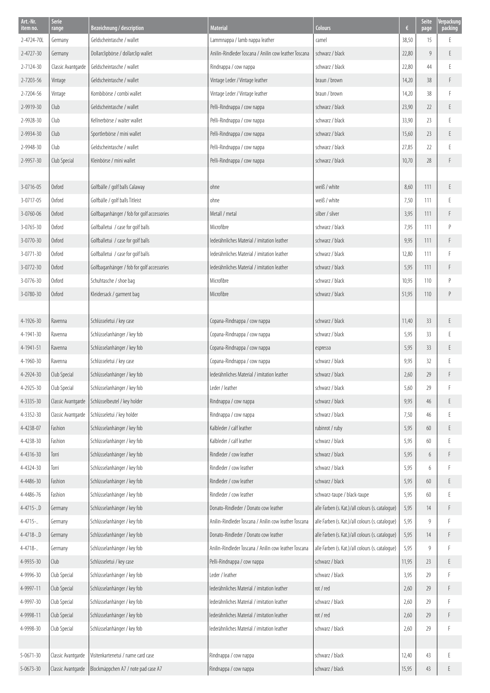| Art.-Nr.<br>item no. | Serie<br>range     | Bezeichnung / description                  | <b>Material</b>                                       | <b>Colours</b>                                   | €     | <b>Seite</b><br>page | Verpackung<br>packing |
|----------------------|--------------------|--------------------------------------------|-------------------------------------------------------|--------------------------------------------------|-------|----------------------|-----------------------|
| 2-4724-701           | Germany            | Geldscheintasche / wallet                  | Lammnappa / lamb nappa leather                        | camel                                            | 38,50 | 15                   | F                     |
| 2-4727-30            | Germany            | Dollarclipbörse / dollarclip wallet        | Anilin-Rindleder Toscana / Anilin cow leather Toscana | schwarz / black                                  | 22,80 | 9                    | E                     |
| 2-7124-30            | Classic Avantgarde | Geldscheintasche / wallet                  | Rindnappa / cow nappa                                 | schwarz / black                                  | 22,80 | 44                   | F                     |
| 2-7203-56            | Vintage            | Geldscheintasche / wallet                  | Vintage Leder / Vintage leather                       | braun / brown                                    | 14,20 | 38                   | F                     |
| 2-7204-56            | Vintage            | Kombibörse / combi wallet                  | Vintage Leder / Vintage leather                       | braun / brown                                    | 14,20 | 38                   | F                     |
| 2-9919-30            | Club               | Geldscheintasche / wallet                  | Pelli-Rindnappa / cow nappa                           | schwarz / black                                  | 23,90 | 22                   | E                     |
| 2-9928-30            | Club               | Kellnerbörse / waiter wallet               | Pelli-Rindnappa / cow nappa                           | schwarz / black                                  | 33,90 | 23                   | E                     |
| 2-9934-30            | Club               | Sportlerbörse / mini wallet                | Pelli-Rindnappa / cow nappa                           | schwarz / black                                  | 15,60 | 23                   | E                     |
| 2-9948-30            | Club               | Geldscheintasche / wallet                  | Pelli-Rindnappa / cow nappa                           | schwarz / black                                  | 27,85 | 22                   | F                     |
| 2-9957-30            | Club Special       | Kleinbörse / mini wallet                   | Pelli-Rindnappa / cow nappa                           | schwarz / black                                  | 10,70 | 28                   |                       |
|                      |                    |                                            |                                                       |                                                  |       |                      |                       |
| 3-0716-05            | <b>Oxford</b>      | Golfbälle / golf balls Calaway             | ohne                                                  | weiß / white                                     | 8,60  | 111                  | E                     |
| 3-0717-05            | <b>Oxford</b>      | Golfbälle / golf balls Titleist            | ohne                                                  | weiß / white                                     | 7,50  | 111                  | Ε                     |
| 3-0760-06            | <b>Oxford</b>      | Golfbaganhänger / fob for golf accessories | Metall / metal                                        | silber / silver                                  | 3,95  | 111                  | F                     |
| 3-0765-30            | <b>Oxford</b>      | Golfballetui / case for golf balls         | Microfibre                                            | schwarz / black                                  | 7,95  | 111                  | $\mathsf{P}$          |
| 3-0770-30            | <b>Oxford</b>      | Golfballetui / case for golf balls         | lederähnliches Material / imitation leather           | schwarz / black                                  | 9,95  | 111                  | F                     |
| 3-0771-30            | <b>Oxford</b>      | Golfballetui / case for golf balls         | lederähnliches Material / imitation leather           | schwarz / black                                  | 12,80 | 111                  | F                     |
| 3-0772-30            | <b>Oxford</b>      | Golfbaganhänger / fob for golf accessories | lederähnliches Material / imitation leather           | schwarz / black                                  | 5,95  | 111                  | F                     |
| 3-0776-30            | <b>Oxford</b>      | Schuhtasche / shoe bag                     | Microfibre                                            | schwarz / black                                  | 10,95 | 110                  | P                     |
| 3-0780-30            | Oxford             | Kleidersack / garment bag                  | Microfibre                                            | schwarz / black                                  | 51,95 | 110                  | P                     |
|                      |                    |                                            |                                                       |                                                  |       |                      |                       |
| 4-1926-30            | Ravenna            | Schlüsseletui / key case                   | Copana-Rindnappa / cow nappa                          | schwarz / black                                  | 11,40 | 33                   | E                     |
| 4-1941-30            | Ravenna            | Schlüsselanhänger / key fob                | Copana-Rindnappa / cow nappa                          | schwarz / black                                  | 5,95  | 33                   | F                     |
| 4-1941-51            | Ravenna            | Schlüsselanhänger / key fob                | Copana-Rindnappa / cow nappa                          | espresso                                         | 5,95  | 33                   | E                     |
| 4-1960-30            | Ravenna            | Schlüsseletui / key case                   | Copana-Rindnappa / cow nappa                          | schwarz / black                                  | 9,95  | 32                   | F                     |
| 4-2924-30            | Club Special       | Schlüsselanhänger / key fob                | lederähnliches Material / imitation leather           | schwarz / black                                  | 2,60  | 29                   | F                     |
| 4-2925-30            | Club Special       | Schlüsselanhänger / key fob                | Leder / leather                                       | schwarz / black                                  | 5,60  | 29                   |                       |
| 4-3335-30            | Classic Avantgarde | Schlüsselbeutel / key holder               | Rindnappa / cow nappa                                 | schwarz / black                                  | 9,95  | 46                   | E                     |
| 4-3352-30            | Classic Avantgarde | Schlüsseletui / key holder                 | Rindnappa / cow nappa                                 | schwarz / black                                  | 7,50  | 46                   | E                     |
| 4-4238-07            | Fashion            | Schlüsselanhänger / key fob                | Kalbleder / calf leather                              | rubinrot / ruby                                  | 5,95  | 60                   | E                     |
| 4-4238-30            | Fashion            | Schlüsselanhänger / key fob                | Kalbleder / calf leather                              | schwarz / black                                  | 5,95  | 60                   | E                     |
| 4-4316-30            | Torri              | Schlüsselanhänger / key fob                | Rindleder / cow leather                               | schwarz / black                                  | 5,95  | 6                    | $\mathsf F$           |
| 4-4324-30            | Torri              | Schlüsselanhänger / key fob                | Rindleder / cow leather                               | schwarz / black                                  | 5,95  | 6                    | F                     |
| 4-4486-30            | Fashion            | Schlüsselanhänger / key fob                | Rindleder / cow leather                               | schwarz / black                                  | 5,95  | 60                   | E                     |
| 4-4486-76            | Fashion            | Schlüsselanhänger / key fob                | Rindleder / cow leather                               | schwarz-taupe / black-taupe                      | 5,95  | 60                   | E                     |
| 4-4715-D             | Germany            | Schlüsselanhänger / key fob                | Donato-Rindleder / Donato cow leather                 | alle Farben (s. Kat.)/all colours (s. cataloque) | 5,95  | 14                   | F                     |
| 4-4715-              | Germany            | Schlüsselanhänger / key fob                | Anilin-Rindleder Toscana / Anilin cow leather Toscana | alle Farben (s. Kat.)/all colours (s. catalogue) | 5,95  | 9                    | F                     |
| 4-4718-D             | Germany            | Schlüsselanhänger / key fob                | Donato-Rindleder / Donato cow leather                 | alle Farben (s. Kat.)/all colours (s. cataloque) | 5,95  | 14                   | F                     |
| 4-4718-              | Germany            | Schlüsselanhänger / key fob                | Anilin-Rindleder Toscana / Anilin cow leather Toscana | alle Farben (s. Kat.)/all colours (s. cataloque) | 5,95  | 9                    | F                     |
| 4-9935-30            | Club               | Schlüsseletui / key case                   | Pelli-Rindnappa / cow nappa                           | schwarz / black                                  | 11,95 | 23                   | E                     |
| 4-9996-30            | Club Special       | Schlüsselanhänger / key fob                | Leder / leather                                       | schwarz / black                                  | 3,95  | 29                   | F                     |
| 4-9997-11            | Club Special       | Schlüsselanhänger / key fob                | lederähnliches Material / imitation leather           | rot / red                                        | 2,60  | 29                   | F                     |
| 4-9997-30            | Club Special       | Schlüsselanhänger / key fob                | lederähnliches Material / imitation leather           | schwarz / black                                  | 2,60  | 29                   | F                     |
| 4-9998-11            | Club Special       | Schlüsselanhänger / key fob                | lederähnliches Material / imitation leather           | rot / red                                        | 2,60  | 29                   | F                     |
| 4-9998-30            | Club Special       | Schlüsselanhänger / key fob                | lederähnliches Material / imitation leather           | schwarz / black                                  | 2,60  | 29                   | F                     |
|                      |                    |                                            |                                                       |                                                  |       |                      |                       |
| 5-0671-30            | Classic Avantgarde | Visitenkartenetui / name card case         | Rindnappa / cow nappa                                 | schwarz / black                                  | 12,40 | 43                   | Ε                     |
| $5 - 0673 - 30$      | Classic Avantgarde | Blockmäppchen A7 / note pad case A7        | Rindnappa / cow nappa                                 | schwarz / black                                  | 15,95 | 43                   | F                     |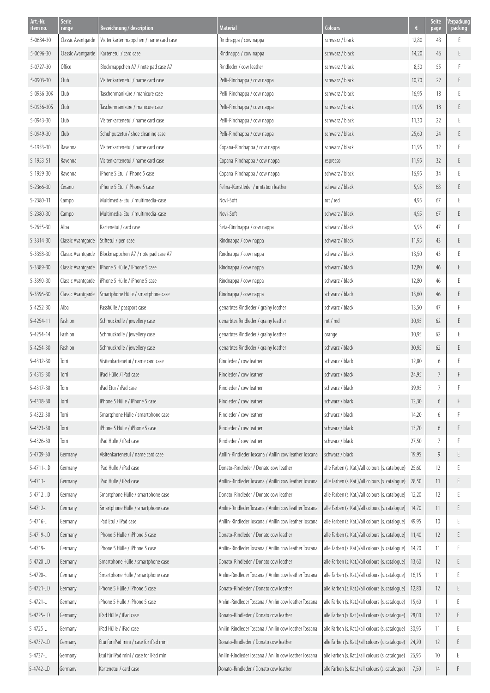| Art.-Nr.              | <b>Serie</b>                | Bezeichnung / description               | <b>Material</b>                                       | <b>Colours</b>                                   | €     | <b>Seite</b>   | Verpackung   |
|-----------------------|-----------------------------|-----------------------------------------|-------------------------------------------------------|--------------------------------------------------|-------|----------------|--------------|
| item no.<br>5-0684-30 | range<br>Classic Avantgarde | Visitenkartenmäppchen / name card case  | Rindnappa / cow nappa                                 | schwarz / black                                  | 12,80 | page<br>43     | packing<br>E |
| 5-0696-30             | Classic Avantgarde          | Kartenetui / card case                  | Rindnappa / cow nappa                                 | schwarz / black                                  | 14,20 | 46             | E            |
| $5 - 0727 - 30$       | Office                      | Blockmäppchen A7 / note pad case A7     | Rindleder / cow leather                               | schwarz / black                                  | 8,50  | 55             | F            |
| 5-0903-30             | Club                        | Visitenkartenetui / name card case      | Pelli-Rindnappa / cow nappa                           | schwarz / black                                  | 10,70 | 22             | E            |
| 5-0936-30K            | Club                        | Taschenmaniküre / manicure case         | Pelli-Rindnappa / cow nappa                           | schwarz / black                                  | 16,95 | 18             |              |
| 5-0936-30S            | Club                        | Taschenmaniküre / manicure case         | Pelli-Rindnappa / cow nappa                           | schwarz / black                                  | 11,95 | 18             | E            |
| 5-0943-30             | Club                        | Visitenkartenetui / name card case      | Pelli-Rindnappa / cow nappa                           | schwarz / black                                  | 11,30 | 22             | F            |
| 5-0949-30             | Club                        | Schuhputzetui / shoe cleaning case      | Pelli-Rindnappa / cow nappa                           | schwarz / black                                  | 25,60 | 24             | E            |
| 5-1953-30             | Ravenna                     | Visitenkartenetui / name card case      | Copana-Rindnappa / cow nappa                          | schwarz / black                                  | 11,95 | 32             | F            |
| 5-1953-51             | Ravenna                     | Visitenkartenetui / name card case      | Copana-Rindnappa / cow nappa                          | espresso                                         | 11,95 | 32             | E            |
| 5-1959-30             | Ravenna                     | iPhone 5 Etui / iPhone 5 case           | Copana-Rindnappa / cow nappa                          | schwarz / black                                  | 16,95 | 34             | F            |
| $5 - 2366 - 30$       | Cesano                      | iPhone 5 Etui / iPhone 5 case           | Felina-Kunstleder / imitation leather                 | schwarz / black                                  | 5,95  | 68             | E            |
| 5-2380-11             | Campo                       | Multimedia-Etui / multimedia-case       | Novi-Soft                                             | rot / red                                        | 4,95  | 67             | F            |
| 5-2380-30             | Campo                       | Multimedia-Etui / multimedia-case       | Novi-Soft                                             | schwarz / black                                  | 4,95  | 67             | E            |
| $5 - 2655 - 30$       | Alba                        | Kartenetui / card case                  | Seta-Rindnappa / cow nappa                            | schwarz / black                                  | 6,95  | 47             |              |
| 5-3314-30             | Classic Avantgarde          | Stiftetui / pen case                    | Rindnappa / cow nappa                                 | schwarz / black                                  | 11,95 | 43             | E.           |
| 5-3358-30             | Classic Avantgarde          | Blockmäppchen A7 / note pad case A7     | Rindnappa / cow nappa                                 | schwarz / black                                  | 13,50 | 43             | F            |
| 5-3389-30             | Classic Avantgarde          | iPhone 5 Hülle / iPhone 5 case          | Rindnappa / cow nappa                                 | schwarz / black                                  | 12,80 | 46             | E            |
| 5-3390-30             | Classic Avantgarde          | iPhone 5 Hülle / iPhone 5 case          | Rindnappa / cow nappa                                 | schwarz / black                                  | 12,80 | 46             |              |
| 5-3396-30             | Classic Avantgarde          | Smartphone Hülle / smartphone case      | Rindnappa / cow nappa                                 | schwarz / black                                  | 13,60 | 46             | E            |
| 5-4252-30             | Alba                        | Passhülle / passport case               | genarbtes Rindleder / grainy leather                  | schwarz / black                                  | 13,50 | 47             |              |
| 5-4254-11             | Fashion                     | Schmuckrolle / jewellery case           | genarbtes Rindleder / grainy leather                  | rot / red                                        | 30,95 | 62             | Ε            |
| 5-4254-14             | Fashion                     | Schmuckrolle / jewellery case           | genarbtes Rindleder / grainy leather                  | orange                                           | 30,95 | 62             |              |
| 5-4254-30             | Fashion                     | Schmuckrolle / jewellery case           | genarbtes Rindleder / grainy leather                  | schwarz / black                                  | 30,95 | 62             | E            |
| 5-4312-30             | Torri                       | Visitenkartenetui / name card case      | Rindleder / cow leather                               | schwarz / black                                  | 12,80 | 6              |              |
| 5-4315-30             | Torri                       | iPad Hülle / iPad case                  | Rindleder / cow leather                               | schwarz / black                                  | 24,95 | $\overline{7}$ | F            |
| 5-4317-30             | Torri                       | iPad Etui / iPad case                   | Rindleder / cow leather                               | schwarz / black                                  | 39,95 | $\overline{7}$ |              |
| 5-4318-30             | Torri                       | iPhone 5 Hülle / iPhone 5 case          | Rindleder / cow leather                               | schwarz / black                                  | 12,30 | 6              | F            |
| 5-4322-30             | Torri                       | Smartphone Hülle / smartphone case      | Rindleder / cow leather                               | schwarz / black                                  | 14,20 | 6              |              |
| 5-4323-30             | Torri                       | iPhone 5 Hülle / iPhone 5 case          | Rindleder / cow leather                               | schwarz / black                                  | 13,70 | 6              | F            |
| 5-4326-30             | Torri                       | iPad Hülle / iPad case                  | Rindleder / cow leather                               | schwarz / black                                  | 27,50 | 7              |              |
| 5-4709-30             | Germany                     | Visitenkartenetui / name card case      | Anilin-Rindleder Toscana / Anilin cow leather Toscana | schwarz / black                                  | 19,95 | 9              | E            |
| $5 - 4711 - 0$        | Germany                     | iPad Hülle / iPad case                  | Donato-Rindleder / Donato cow leather                 | alle Farben (s. Kat.)/all colours (s. cataloque) | 25,60 | 12             |              |
| $5 - 4711 -$          | Germany                     | iPad Hülle / iPad case                  | Anilin-Rindleder Toscana / Anilin cow leather Toscana | alle Farben (s. Kat.)/all colours (s. catalogue) | 28,50 | 11             | E            |
| $5 - 4712 - .0$       | Germany                     | Smartphone Hülle / smartphone case      | Donato-Rindleder / Donato cow leather                 | alle Farben (s. Kat.)/all colours (s. catalogue) | 12,20 | 12             |              |
| $5 - 4712 - $         | Germany                     | Smartphone Hülle / smartphone case      | Anilin-Rindleder Toscana / Anilin cow leather Toscana | alle Farben (s. Kat.)/all colours (s. cataloque) | 14,70 | 11             | E            |
| $5 - 4716 -$          | Germany                     | iPad Etui / iPad case                   | Anilin-Rindleder Toscana / Anilin cow leather Toscana | alle Farben (s. Kat.)/all colours (s. catalogue) | 49,95 | 10             | F            |
| 5-4719-D              | Germany                     | iPhone 5 Hülle / iPhone 5 case          | Donato-Rindleder / Donato cow leather                 | alle Farben (s. Kat.)/all colours (s. cataloque) | 11,40 | 12             | E            |
| $5 - 4719 - $         | Germany                     | iPhone 5 Hülle / iPhone 5 case          | Anilin-Rindleder Toscana / Anilin cow leather Toscana | alle Farben (s. Kat.)/all colours (s. catalogue) | 14,20 | 11             | F            |
| 5-4720-D              | Germany                     | Smartphone Hülle / smartphone case      | Donato-Rindleder / Donato cow leather                 | alle Farben (s. Kat.)/all colours (s. cataloque) | 13,60 | 12             | E            |
| 5-4720-               | Germany                     | Smartphone Hülle / smartphone case      | Anilin-Rindleder Toscana / Anilin cow leather Toscana | alle Farben (s. Kat.)/all colours (s. catalogue) | 16,15 | 11             | Ε            |
| $5 - 4721 - .$        | Germany                     | iPhone 5 Hülle / iPhone 5 case          | Donato-Rindleder / Donato cow leather                 | alle Farben (s. Kat.)/all colours (s. catalogue) | 12,80 | 12             | E            |
| $5 - 4721 - $         | Germany                     | iPhone 5 Hülle / iPhone 5 case          | Anilin-Rindleder Toscana / Anilin cow leather Toscana | alle Farben (s. Kat.)/all colours (s. cataloque) | 15,60 | 11             |              |
| $5 - 4725 - .$        | Germany                     | iPad Hülle / iPad case                  | Donato-Rindleder / Donato cow leather                 | alle Farben (s. Kat.)/all colours (s. catalogue) | 28,00 | 12             | E            |
| 5-4725-               | Germany                     | iPad Hülle / iPad case                  | Anilin-Rindleder Toscana / Anilin cow leather Toscana | alle Farben (s. Kat.)/all colours (s. catalogue) | 30,95 | 11             | F            |
| $5 - 4737 - 0$        | Germany                     | Etui für iPad mini / case for iPad mini | Donato-Rindleder / Donato cow leather                 | alle Farben (s. Kat.)/all colours (s. cataloque) | 24,20 | 12             | E.           |
| $5 - 4737 - $         | Germany                     | Etui für iPad mini / case for iPad mini | Anilin-Rindleder Toscana / Anilin cow leather Toscana | alle Farben (s. Kat.)/all colours (s. cataloque) | 26,95 | 10             |              |
| $5 - 4742 - 0$        | Germany                     | Kartenetui / card case                  | Donato-Rindleder / Donato cow leather                 | alle Farben (s. Kat.)/all colours (s. catalogue) | 7,50  | 14             |              |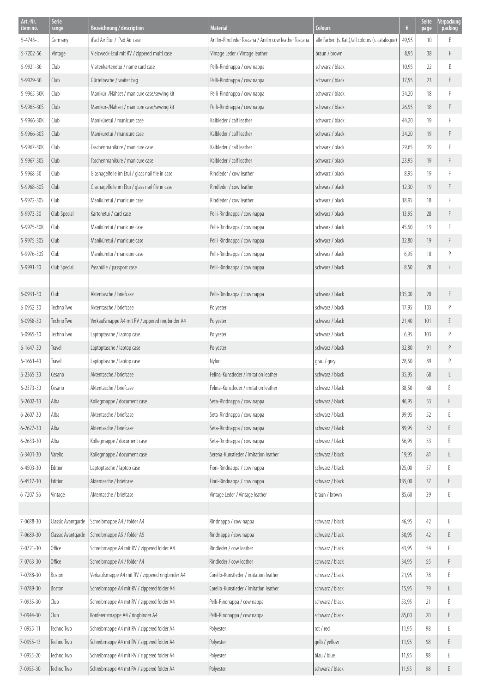| Art.-Nr.<br>item no. | Serie<br>range     | Bezeichnung / description                        | <b>Material</b>                                       | <b>Colours</b>                                   | $\epsilon$ | Seite<br>page   | Verpackung<br>packing |
|----------------------|--------------------|--------------------------------------------------|-------------------------------------------------------|--------------------------------------------------|------------|-----------------|-----------------------|
| $5 - 4743$           | Germany            | iPad Air Etui / iPad Air case                    | Anilin-Rindleder Toscana / Anilin cow leather Toscana | alle Farben (s. Kat.)/all colours (s. cataloque) | 49,95      | 10 <sup>°</sup> | E                     |
| 5-7202-56            | Vintage            | Vielzweck-Etui mit RV / zippered multi case      | Vintage Leder / Vintage leather                       | braun / brown                                    | 8,95       | 38              | F                     |
| 5-9921-30            | Club               | Visitenkartenetui / name card case               | Pelli-Rindnappa / cow nappa                           | schwarz / black                                  | 10,95      | 22              | E                     |
| 5-9929-30            | Club               | Gürteltasche / waiter bag                        | Pelli-Rindnappa / cow nappa                           | schwarz / black                                  | 17,95      | 23              | E                     |
| 5-9965-30K           | Club               | Manikür-/Nähset / manicure case/sewing kit       | Pelli-Rindnappa / cow nappa                           | schwarz / black                                  | 34,20      | 18              | F                     |
| 5-9965-30S           | Club               | Manikür-/Nähset / manicure case/sewing kit       | Pelli-Rindnappa / cow nappa                           | schwarz / black                                  | 26,95      | 18              | F                     |
| 5-9966-30K           | Club               | Maniküretui / manicure case                      | Kalbleder / calf leather                              | schwarz / black                                  | 44,20      | 19              | F                     |
| 5-9966-30S           | Club               | Maniküretui / manicure case                      | Kalbleder / calf leather                              | schwarz / black                                  | 34,20      | 19              | F                     |
| 5-9967-30K           | Club               | Taschenmaniküre / manicure case                  | Kalbleder / calf leather                              | schwarz / black                                  | 29,65      | 19              | F                     |
| 5-9967-30S           | Club               | Taschenmaniküre / manicure case                  | Kalbleder / calf leather                              | schwarz / black                                  | 23,95      | 19              | F                     |
| 5-9968-30            | Club               | Glasnagelfeile im Etui / glass nail file in case | Rindleder / cow leather                               | schwarz / black                                  | 8,95       | 19              | F                     |
| 5-9968-30S           | Club               | Glasnagelfeile im Etui / glass nail file in case | Rindleder / cow leather                               | schwarz / black                                  | 12,30      | 19              | F                     |
| 5-9972-30S           | Club               | Maniküretui / manicure case                      | Rindleder / cow leather                               | schwarz / black                                  | 18,95      | 18              | F                     |
| 5-9973-30            | Club Special       | Kartenetui / card case                           | Pelli-Rindnappa / cow nappa                           | schwarz / black                                  | 13,95      | 28              | F                     |
| 5-9975-30K           | Club               | Maniküretui / manicure case                      | Pelli-Rindnappa / cow nappa                           | schwarz / black                                  | 45,60      | 19              | E                     |
| 5-9975-30S           | Club               | Maniküretui / manicure case                      | Pelli-Rindnappa / cow nappa                           | schwarz / black                                  | 32,80      | 19              | F                     |
| 5-9976-30S           | Club               | Maniküretui / manicure case                      | Pelli-Rindnappa / cow nappa                           | schwarz / black                                  | 6,95       | 18              | $\mathsf{P}$          |
| 5-9991-30            | Club Special       | Passhülle / passport case                        | Pelli-Rindnappa / cow nappa                           | schwarz / black                                  | 8,50       | 28              | F                     |
|                      |                    |                                                  |                                                       |                                                  |            |                 |                       |
| 6-0931-30            | Club               | Aktentasche / briefcase                          | Pelli-Rindnappa / cow nappa                           | schwarz / black                                  | 135,00     | 20              | E                     |
| 6-0952-30            | Techno Two         | Aktentasche / briefcase                          | Polyester                                             | schwarz / black                                  | 17,95      | 103             | $\mathsf{P}$          |
| 6-0958-30            | Techno Two         | Verkaufsmappe A4 mit RV / zippered ringbinder A4 | Polyester                                             | schwarz / black                                  | 21,40      | 101             | Ε                     |
| 6-0965-30            | Techno Two         | Laptoptasche / laptop case                       | Polyester                                             | schwarz / black                                  | 6,95       | 103             | $\mathsf{P}$          |
| $6 - 1647 - 30$      | Travel             | Laptoptasche / laptop case                       | Polyester                                             | schwarz / black                                  | 32,80      | 91              | P                     |
| $6 - 1661 - 40$      | Travel             | Laptoptasche / laptop case                       | Nylon                                                 | grau / grey                                      | 28,50      | 89              | $\mathsf{P}$          |
| 6-2365-30            | Cesano             | Aktentasche / briefcase                          | Felina-Kunstleder / imitation leather                 | schwarz / black                                  | 35,95      | 68              | Ε                     |
| 6-2373-30            | Cesano             | Aktentasche / briefcase                          | Felina-Kunstleder / imitation leather                 | schwarz / black                                  | 38,50      | 68              | Ŀ.                    |
| $6 - 2602 - 30$      | Alba               | Kollegmappe / document case                      | Seta-Rindnappa / cow nappa                            | schwarz / black                                  | 46,95      | 53              | F                     |
| $6 - 2607 - 30$      | Alba               | Aktentasche / briefcase                          | Seta-Rindnappa / cow nappa                            | schwarz / black                                  | 99,95      | 52              | E                     |
| $6 - 2627 - 30$      | Alba               | Aktentasche / briefcase                          | Seta-Rindnappa / cow nappa                            | schwarz / black                                  | 89,95      | 52              | E                     |
| 6-2633-30            | Alba               | Kollegmappe / document case                      | Seta-Rindnappa / cow nappa                            | schwarz / black                                  | 56,95      | 53              | E                     |
| 6-3401-30            | Varello            | Kollegmappe / document case                      | Serena-Kunstleder / imitation leather                 | schwarz / black                                  | 19,95      | 81              | E                     |
| $6 - 4503 - 30$      | Edition            | Laptoptasche / laptop case                       | Fiori-Rindnappa / cow nappa                           | schwarz / black                                  | 125,00     | 37              | E                     |
| 6-4517-30            | Edition            | Aktentasche / briefcase                          | Fiori-Rindnappa / cow nappa                           | schwarz / black                                  | 135,00     | 37              | E                     |
| 6-7207-56            | Vintage            | Aktentasche / briefcase                          | Vintage Leder / Vintage leather                       | braun / brown                                    | 85,60      | 39              | E                     |
|                      |                    |                                                  |                                                       |                                                  |            |                 |                       |
| 7-0688-30            | Classic Avantgarde | Schreibmappe A4 / folder A4                      | Rindnappa / cow nappa                                 | schwarz / black                                  | 46,95      | 42              | Ε                     |
| 7-0689-30            | Classic Avantgarde | Schreibmappe A5 / folder A5                      | Rindnappa / cow nappa                                 | schwarz / black                                  | 30,95      | 42              | E                     |
| 7-0721-30            | Office             | Schreibmappe A4 mit RV / zippered folder A4      | Rindleder / cow leather                               | schwarz / black                                  | 43,95      | 54              | F                     |
| 7-0763-30            | Office             | Schreibmappe A4 / folder A4                      | Rindleder / cow leather                               | schwarz / black                                  | 34,95      | 55              | F                     |
| 7-0788-30            | Boston             | Verkaufsmappe A4 mit RV / zippered ringbinder A4 | Corello-Kunstleder / imitation leather                | schwarz / black                                  | 21,95      | 78              | E                     |
| 7-0789-30            | Boston             | Schreibmappe A4 mit RV / zippered folder A4      | Corello-Kunstleder / imitation leather                | schwarz / black                                  | 15,95      | 79              | E                     |
| 7-0935-30            | Club               | Schreibmappe A4 mit RV / zippered folder A4      | Pelli-Rindnappa / cow nappa                           | schwarz / black                                  | 53,95      | 21              | F                     |
| 7-0944-30            | Club               | Konferenzmappe A4 / ringbinder A4                | Pelli-Rindnappa / cow nappa                           | schwarz / black                                  | 85,00      | 20              | E                     |
| 7-0955-11            | Techno Two         | Schreibmappe A4 mit RV / zippered folder A4      | Polyester                                             | rot / red                                        | 11,95      | 98              | E                     |
| 7-0955-13            | Techno Two         | Schreibmappe A4 mit RV / zippered folder A4      | Polyester                                             | gelb / yellow                                    | 11,95      | 98              | E                     |
| 7-0955-20            | Techno Two         | Schreibmappe A4 mit RV / zippered folder A4      | Polyester                                             | blau / blue                                      | 11,95      | 98              | E                     |
| 7-0955-30            | Techno Two         | Schreibmappe A4 mit RV / zippered folder A4      | Polyester                                             | schwarz / black                                  | 11,95      | 98              | E                     |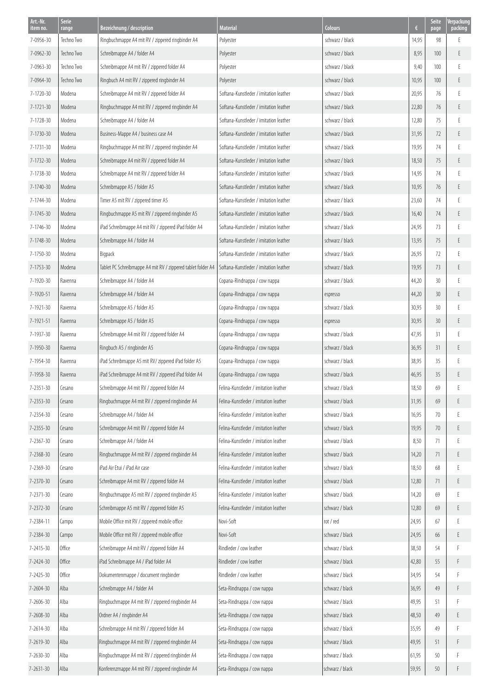| Art.-Nr.        | <b>Serie</b> |                                                              |                                        |                 |       | <b>Seite</b>    | Verpackung |
|-----------------|--------------|--------------------------------------------------------------|----------------------------------------|-----------------|-------|-----------------|------------|
| item no.        | range        | Bezeichnung / description                                    | <b>Material</b>                        | <b>Colours</b>  | €     | page            | packing    |
| 7-0956-30       | Techno Two   | Ringbuchmappe A4 mit RV / zippered ringbinder A4             | Polyester                              | schwarz / black | 14,95 | 98              |            |
| 7-0962-30       | Techno Two   | Schreibmappe A4 / folder A4                                  | Polyester                              | schwarz / black | 8,95  | 100             | E          |
| 7-0963-30       | Techno Two   | Schreibmappe A4 mit RV / zippered folder A4                  | Polyester                              | schwarz / black | 9,40  | 100             |            |
| 7-0964-30       | Techno Two   | Ringbuch A4 mit RV / zippered ringbinder A4                  | Polyester                              | schwarz / black | 10,95 | 100             | E          |
| 7-1720-30       | Modena       | Schreibmappe A4 mit RV / zippered folder A4                  | Softana-Kunstleder / imitation leather | schwarz / black | 20,95 | 76              |            |
| 7-1721-30       | Modena       | Ringbuchmappe A4 mit RV / zippered ringbinder A4             | Softana-Kunstleder / imitation leather | schwarz / black | 22,80 | 76              | E.         |
| 7-1728-30       | Modena       | Schreibmappe A4 / folder A4                                  | Softana-Kunstleder / imitation leather | schwarz / black | 12,80 | 75              | E          |
| 7-1730-30       | Modena       | Business-Mappe A4 / business case A4                         | Softana-Kunstleder / imitation leather | schwarz / black | 31,95 | 72              | F          |
| 7-1731-30       | Modena       | Ringbuchmappe A4 mit RV / zippered ringbinder A4             | Softana-Kunstleder / imitation leather | schwarz / black | 19,95 | 74              |            |
| 7-1732-30       | Modena       | Schreibmappe A4 mit RV / zippered folder A4                  | Softana-Kunstleder / imitation leather | schwarz / black | 18,50 | 75              | E.         |
| 7-1738-30       | Modena       | Schreibmappe A4 mit RV / zippered folder A4                  | Softana-Kunstleder / imitation leather | schwarz / black | 14,95 | 74              | F          |
| 7-1740-30       | Modena       | Schreibmappe A5 / folder A5                                  | Softana-Kunstleder / imitation leather | schwarz / black | 10,95 | 76              | E          |
| 7-1744-30       | Modena       | Timer A5 mit RV / zippered timer A5                          | Softana-Kunstleder / imitation leather | schwarz / black | 23,60 | 74              | F          |
| 7-1745-30       | Modena       | Ringbuchmappe A5 mit RV / zippered ringbinder A5             | Softana-Kunstleder / imitation leather | schwarz / black | 16,40 | 74              | E.         |
| 7-1746-30       | Modena       | iPad Schreibmappe A4 mit RV / zippered iPad folder A4        | Softana-Kunstleder / imitation leather | schwarz / black | 24,95 | 73              |            |
| 7-1748-30       | Modena       | Schreibmappe A4 / folder A4                                  | Softana-Kunstleder / imitation leather | schwarz / black | 13,95 | 75              | E.         |
| 7-1750-30       | Modena       | Bigpack                                                      | Softana-Kunstleder / imitation leather | schwarz / black | 26,95 | 72              | F          |
| 7-1753-30       | Modena       | Tablet PC Schreibmappe A4 mit RV / zippered tablet folder A4 | Softana-Kunstleder / imitation leather | schwarz / black | 19,95 | 73              | E.         |
| 7-1920-30       | Ravenna      | Schreibmappe A4 / folder A4                                  | Copana-Rindnappa / cow nappa           | schwarz / black | 44,20 | 30              |            |
| 7-1920-51       | Ravenna      | Schreibmappe A4 / folder A4                                  | Copana-Rindnappa / cow nappa           | espresso        | 44,20 | 30              | E.         |
| 7-1921-30       | Ravenna      | Schreibmappe A5 / folder A5                                  | Copana-Rindnappa / cow nappa           | schwarz / black | 30,95 | 30              |            |
| 7-1921-51       | Ravenna      | Schreibmappe A5 / folder A5                                  | Copana-Rindnappa / cow nappa           | espresso        | 30,95 | 30 <sup>°</sup> | E.         |
| 7-1937-30       | Ravenna      | Schreibmappe A4 mit RV / zippered folder A4                  | Copana-Rindnappa / cow nappa           | schwarz / black | 47,95 | 31              | F          |
| 7-1950-30       | Ravenna      | Ringbuch A5 / ringbinder A5                                  | Copana-Rindnappa / cow nappa           | schwarz / black | 36,95 | 31              | E.         |
| 7-1954-30       | Ravenna      | iPad Schreibmappe A5 mit RV/zippered iPad folder A5          | Copana-Rindnappa / cow nappa           | schwarz / black | 38,95 | 35              |            |
| 7-1958-30       | Ravenna      | iPad Schreibmappe A4 mit RV / zippered iPad folder A4        | Copana-Rindnappa / cow nappa           | schwarz / black | 46,95 | 35              | E          |
| 7-2351-30       | Cesano       | Schreibmappe A4 mit RV / zippered folder A4                  | Felina-Kunstleder / imitation leather  | schwarz / black | 18,50 | 69              |            |
| 7-2353-30       | Cesano       | Ringbuchmappe A4 mit RV / zippered ringbinder A4             | Felina-Kunstleder / imitation leather  | schwarz / black | 31,95 | 69              | E          |
| 7-2354-30       | Cesano       | Schreibmappe A4 / folder A4                                  | Felina-Kunstleder / imitation leather  | schwarz / black | 16,95 | 70              |            |
| 7-2355-30       | Cesano       | Schreibmappe A4 mit RV / zippered folder A4                  | Felina-Kunstleder / imitation leather  | schwarz / black | 19,95 | 70              | E          |
| 7-2367-30       | Cesano       | Schreibmappe A4 / folder A4                                  | Felina-Kunstleder / imitation leather  | schwarz / black | 8,50  | 71              | E          |
| 7-2368-30       | Cesano       | Ringbuchmappe A4 mit RV / zippered ringbinder A4             | Felina-Kunstleder / imitation leather  | schwarz / black | 14,20 | 71              | E          |
| 7-2369-30       | Cesano       | iPad Air Etui / iPad Air case                                | Felina-Kunstleder / imitation leather  | schwarz / black | 18,50 | 68              |            |
| 7-2370-30       | Cesano       | Schreibmappe A4 mit RV / zippered folder A4                  | Felina-Kunstleder / imitation leather  | schwarz / black | 12,80 | 71              | E          |
| 7-2371-30       | Cesano       | Ringbuchmappe A5 mit RV / zippered ringbinder A5             | Felina-Kunstleder / imitation leather  | schwarz / black | 14,20 | 69              | F          |
| 7-2372-30       | Cesano       | Schreibmappe A5 mit RV / zippered folder A5                  | Felina-Kunstleder / imitation leather  | schwarz / black | 12,80 | 69              | E          |
| 7-2384-11       | Campo        | Mobile Office mit RV / zippered mobile office                | Novi-Soft                              | rot / red       | 24,95 | 67              | F          |
| 7-2384-30       | Campo        | Mobile Office mit RV / zippered mobile office                | Novi-Soft                              | schwarz / black | 24,95 | 66              | E          |
| 7-2415-30       | Office       | Schreibmappe A4 mit RV / zippered folder A4                  | Rindleder / cow leather                | schwarz / black | 38,50 | 54              |            |
| 7-2424-30       | Office       | iPad Schreibmappe A4 / iPad folder A4                        | Rindleder / cow leather                | schwarz / black | 42,80 | 55              |            |
| 7-2425-30       | Office       | Dokumentenmappe / document ringbinder                        | Rindleder / cow leather                | schwarz / black | 34,95 | 54              |            |
| 7-2604-30       | Alba         | Schreibmappe A4 / folder A4                                  | Seta-Rindnappa / cow nappa             | schwarz / black | 36,95 | 49              | F          |
| 7-2606-30       | Alba         | Ringbuchmappe A4 mit RV / zippered ringbinder A4             | Seta-Rindnappa / cow nappa             | schwarz / black | 49,95 | 51              |            |
| 7-2608-30       | Alba         | Ordner A4 / ringbinder A4                                    | Seta-Rindnappa / cow nappa             | schwarz / black | 48,50 | 49              | E          |
| 7-2614-30       | Alba         | Schreibmappe A4 mit RV / zippered folder A4                  | Seta-Rindnappa / cow nappa             | schwarz / black | 35,95 | 49              | F          |
| 7-2619-30       | Alba         | Ringbuchmappe A4 mit RV / zippered ringbinder A4             | Seta-Rindnappa / cow nappa             | schwarz / black | 49,95 | 51              | F          |
| 7-2630-30       | Alba         | Ringbuchmappe A4 mit RV / zippered ringbinder A4             | Seta-Rindnappa / cow nappa             | schwarz / black | 61,95 | 50              | F          |
| $7 - 2631 - 30$ | Alba         | Konferenzmappe A4 mit RV / zippered ringbinder A4            | Seta-Rindnappa / cow nappa             | schwarz / black | 59,95 | 50              | F          |
|                 |              |                                                              |                                        |                 |       |                 |            |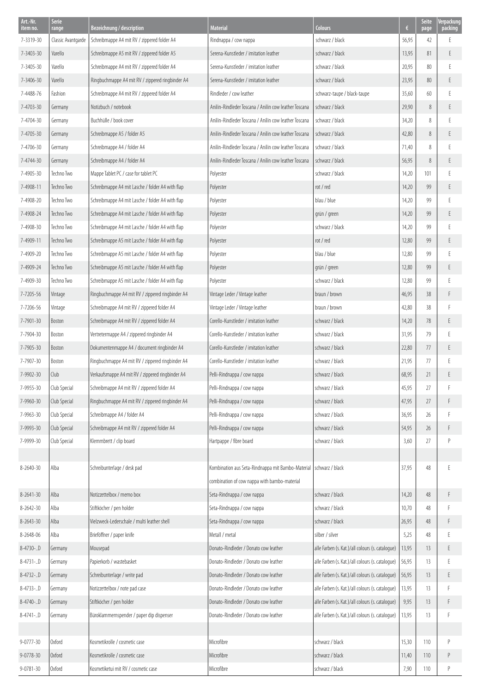| Art.-Nr.<br>item no. | Serie<br>range     | Bezeichnung / description                        | <b>Material</b>                                       | <b>Colours</b>                                   | $\epsilon$ | Seite<br>page | Verpackung<br>packing |
|----------------------|--------------------|--------------------------------------------------|-------------------------------------------------------|--------------------------------------------------|------------|---------------|-----------------------|
| 7-3319-30            | Classic Avantgarde | Schreibmappe A4 mit RV / zippered folder A4      | Rindnappa / cow nappa                                 | schwarz / black                                  | 56,95      | 42            | E                     |
| 7-3403-30            | Varello            | Schreibmappe A5 mit RV / zippered folder A5      | Serena-Kunstleder / imitation leather                 | schwarz / black                                  | 13,95      | 81            | E                     |
| 7-3405-30            | Varello            | Schreibmappe A4 mit RV / zippered folder A4      | Serena-Kunstleder / imitation leather                 | schwarz / black                                  | 20,95      | 80            | E                     |
| 7-3406-30            | Varello            | Ringbuchmappe A4 mit RV / zippered ringbinder A4 | Serena-Kunstleder / imitation leather                 | schwarz / black                                  | 23,95      | 80            | E                     |
| 7-4488-76            | Fashion            | Schreibmappe A4 mit RV / zippered folder A4      | Rindleder / cow leather                               | schwarz-taupe / black-taupe                      | 35,60      | 60            | E                     |
| 7-4703-30            | Germany            | Notizbuch / notebook                             | Anilin-Rindleder Toscana / Anilin cow leather Toscana | schwarz / black                                  | 29,90      | 8             | E                     |
| 7-4704-30            | Germany            | Buchhülle / book cover                           | Anilin-Rindleder Toscana / Anilin cow leather Toscana | schwarz / black                                  | 34,20      | 8             | E                     |
| 7-4705-30            | Germany            | Schreibmappe A5 / folder A5                      | Anilin-Rindleder Toscana / Anilin cow leather Toscana | schwarz / black                                  | 42,80      | 8             | E                     |
| 7-4706-30            | Germany            | Schreibmappe A4 / folder A4                      | Anilin-Rindleder Toscana / Anilin cow leather Toscana | schwarz / black                                  | 71,40      | 8             | E                     |
| 7-4744-30            | Germany            | Schreibmappe A4 / folder A4                      | Anilin-Rindleder Toscana / Anilin cow leather Toscana | schwarz / black                                  | 56,95      | 8             | Ε                     |
| 7-4905-30            | Techno Two         | Mappe Tablet PC / case for tablet PC             | Polyester                                             | schwarz / black                                  | 14,20      | 101           | E                     |
| 7-4908-11            | Techno Two         | Schreibmappe A4 mit Lasche / folder A4 with flap | Polyester                                             | rot / red                                        | 14,20      | 99            | E                     |
| 7-4908-20            | Techno Two         | Schreibmappe A4 mit Lasche / folder A4 with flap | Polyester                                             | blau / blue                                      | 14,20      | 99            | F                     |
| 7-4908-24            | Techno Two         | Schreibmappe A4 mit Lasche / folder A4 with flap | Polyester                                             | grün / green                                     | 14,20      | 99            | Ε                     |
| 7-4908-30            | Techno Two         | Schreibmappe A4 mit Lasche / folder A4 with flap | Polyester                                             | schwarz / black                                  | 14,20      | 99            | E                     |
| 7-4909-11            | Techno Two         | Schreibmappe A5 mit Lasche / folder A4 with flap | Polyester                                             | rot / red                                        | 12,80      | 99            | Ε                     |
| 7-4909-20            | Techno Two         | Schreibmappe A5 mit Lasche / folder A4 with flap | Polyester                                             | blau / blue                                      | 12,80      | 99            | F                     |
| 7-4909-24            | Techno Two         | Schreibmappe A5 mit Lasche / folder A4 with flap | Polyester                                             | grün / green                                     | 12,80      | 99            | Ε                     |
| 7-4909-30            | Techno Two         | Schreibmappe A5 mit Lasche / folder A4 with flap | Polyester                                             | schwarz / black                                  | 12,80      | 99            | F                     |
| 7-7205-56            | Vintage            | Ringbuchmappe A4 mit RV / zippered ringbinder A4 | Vintage Leder / Vintage leather                       | braun / brown                                    | 46,95      | 38            | F                     |
| 7-7206-56            | Vintage            | Schreibmappe A4 mit RV / zippered folder A4      | Vintage Leder / Vintage leather                       | braun / brown                                    | 42,80      | 38            | F                     |
| 7-7901-30            | Boston             | Schreibmappe A4 mit RV / zippered folder A4      | Corello-Kunstleder / imitation leather                | schwarz / black                                  | 14,20      | 78            | E                     |
| 7-7904-30            | Boston             | Vertretermappe A4 / zippered ringbinder A4       | Corello-Kunstleder / imitation leather                | schwarz / black                                  | 31,95      | 79            | E                     |
| 7-7905-30            | Boston             | Dokumentenmappe A4 / document ringbinder A4      | Corello-Kunstleder / imitation leather                | schwarz / black                                  | 22,80      | 77            | E                     |
| 7-7907-30            | <b>Boston</b>      | Ringbuchmappe A4 mit RV / zippered ringbinder A4 | Corello-Kunstleder / imitation leather                | schwarz / black                                  | 21,95      | 77            | E                     |
| 7-9902-30            | Club               | Verkaufsmappe A4 mit RV / zippered ringbinder A4 | Pelli-Rindnappa / cow nappa                           | schwarz / black                                  | 68,95      | 21            | E                     |
| 7-9955-30            | Club Special       | Schreibmappe A4 mit RV / zippered folder A4      | Pelli-Rindnappa / cow nappa                           | schwarz / black                                  | 45,95      | 27            | Ł                     |
| 7-9960-30            | Club Special       | Ringbuchmappe A4 mit RV / zippered ringbinder A4 | Pelli-Rindnappa / cow nappa                           | schwarz / black                                  | 47,95      | 27            | F                     |
| 7-9963-30            | Club Special       | Schreibmappe A4 / folder A4                      | Pelli-Rindnappa / cow nappa                           | schwarz / black                                  | 36,95      | 26            | F                     |
| 7-9993-30            | Club Special       | Schreibmappe A4 mit RV / zippered folder A4      | Pelli-Rindnappa / cow nappa                           | schwarz / black                                  | 54,95      | 26            | F                     |
| 7-9999-30            | Club Special       | Klemmbrett / clip board                          | Hartpappe / fibre board                               | schwarz / black                                  | 3,60       | 27            | P                     |
|                      |                    |                                                  |                                                       |                                                  |            |               |                       |
| 8-2640-30            | Alba               | Schreibunterlage / desk pad                      | Kombination aus Seta-Rindnappa mit Bambo-Material     | schwarz / black                                  | 37,95      | 48            | E                     |
|                      |                    |                                                  | combination of cow nappa with bambo-material          |                                                  |            |               |                       |
| 8-2641-30            | Alba               | Notizzettelbox / memo box                        | Seta-Rindnappa / cow nappa                            | schwarz / black                                  | 14,20      | 48            | F                     |
| 8-2642-30            | Alba               | Stiftköcher / pen holder                         | Seta-Rindnappa / cow nappa                            | schwarz / black                                  | 10,70      | 48            | Е                     |
| 8-2643-30            | Alba               | Vielzweck-Lederschale / multi leather shell      | Seta-Rindnappa / cow nappa                            | schwarz / black                                  | 26,95      | 48            | F                     |
| 8-2648-06            | Alba               | Brieföffner / paper knife                        | Metall / metal                                        | silber / silver                                  | 5,25       | 48            | E                     |
| 8-4730-D             | Germany            | Mousepad                                         | Donato-Rindleder / Donato cow leather                 | alle Farben (s. Kat.)/all colours (s. cataloque) | 13,95      | 13            | E                     |
| $8 - 4731 - .$ D     | Germany            | Papierkorb / wastebasket                         | Donato-Rindleder / Donato cow leather                 | alle Farben (s. Kat.)/all colours (s. cataloque) | 56,95      | 13            | E                     |
| 8-4732-D             | Germany            | Schreibunterlage / write pad                     | Donato-Rindleder / Donato cow leather                 | alle Farben (s. Kat.)/all colours (s. catalogue) | 56,95      | 13            | E                     |
| 8-4733-D             | Germany            | Notizzettelbox / note pad case                   | Donato-Rindleder / Donato cow leather                 | alle Farben (s. Kat.)/all colours (s. cataloque) | 13,95      | 13            | F                     |
| $8 - 4740 - .$       | Germany            | Stiftköcher / pen holder                         | Donato-Rindleder / Donato cow leather                 | alle Farben (s. Kat.)/all colours (s. cataloque) | 9,95       | 13            | F                     |
| $8 - 4741 - .$ D     | Germany            | Büroklammernspender / paper dip dispenser        | Donato-Rindleder / Donato cow leather                 | alle Farben (s. Kat.)/all colours (s. cataloque) | 13,95      | 13            | F                     |
|                      |                    |                                                  |                                                       |                                                  |            |               |                       |
| 9-0777-30            | Oxford             | Kosmetikrolle / cosmetic case                    | Microfibre                                            | schwarz / black                                  | 15,30      | 110           | P                     |
| $9 - 0778 - 30$      | Oxford             | Kosmetikrolle / cosmetic case                    | Microfibre                                            | schwarz / black                                  | 11,40      | 110           | P                     |
| 9-0781-30            | <b>Oxford</b>      | Kosmetiketui mit RV / cosmetic case              | Microfibre                                            | schwarz / black                                  | 7,90       | 110           | P                     |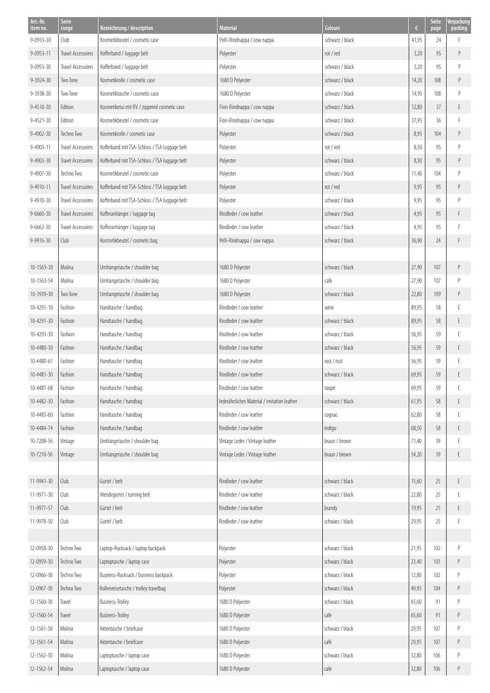| Art.-Nr.<br>item no. | <b>Serie</b><br>range     | Bezeichnung / description                     | <b>Material</b>                             | <b>Colours</b>  | €     | <b>Seite</b><br>page | /erpackung<br>packing |
|----------------------|---------------------------|-----------------------------------------------|---------------------------------------------|-----------------|-------|----------------------|-----------------------|
| 9-0933-30            | Club                      | Kosmetikbeutel / cosmetic case                | Pelli-Rindnappa / cow nappa                 | schwarz / black | 41,95 | 24                   | F                     |
| 9-0953-11            | Travel Accessoires        | Kofferband / luggage belt                     | Polyester                                   | rot / red       | 3,20  | 95                   | P                     |
| 9-0953-30            | <b>Travel Accessoires</b> | Kofferband / luggage belt                     | Polyester                                   | schwarz / black | 3,20  | 95                   | P                     |
| 9-3924-30            | Two Tone                  | Kosmetikrolle / cosmetic case                 | 1680 D Polyester                            | schwarz / black | 14,20 | 108                  | P                     |
| 9-3938-30            | Two Tone                  | Kosmetiktasche / cosmetic case                | 1680 D Polyester                            | schwarz / black | 14,95 | 108                  | P                     |
| 9-4510-30            | Edition                   | Kosmetiketui mit RV / zippered cosmetic case  | Fiori-Rindnappa / cow nappa                 | schwarz / black | 12,80 | 37                   | E                     |
| $9 - 4521 - 30$      | Edition                   | Kosmetikbeutel / cosmetic case                | Fiori-Rindnappa / cow nappa                 | schwarz / black | 37,95 | 36                   | F                     |
| 9-4902-30            | Techno Two                | Kosmetikrolle / cosmetic case                 | Polyester                                   | schwarz / black | 8,95  | 104                  | P                     |
| 9-4903-11            | Travel Accessoires        | Kofferband mit TSA-Schloss / TSA luggage belt | Polyester                                   | rot / red       | 8,50  | 95                   | P                     |
| $9 - 4903 - 30$      | <b>Travel Accessoires</b> | Kofferband mit TSA-Schloss / TSA luggage belt | Polyester                                   | schwarz / black | 8,50  | 95                   | Ρ                     |
| 9-4907-30            | Techno Two                | Kosmetikbeutel / cosmetic case                | Polyester                                   | schwarz / black | 11,40 | 104                  | P                     |
| 9-4910-11            | Travel Accessoires        | Kofferband mit TSA-Schloss / TSA luggage belt | Polyester                                   | rot / red       | 9,95  | 95                   | Ρ                     |
| 9-4910-30            | Travel Accessoires        | Kofferband mit TSA-Schloss / TSA luggage belt | Polyester                                   | schwarz / black | 9,95  | 95                   | Р                     |
| $9 - 6660 - 30$      | <b>Travel Accessoires</b> | Kofferanhänger / luggage tag                  | Rindleder / cow leather                     | schwarz / black | 4,95  | 95                   | F                     |
| $9 - 6662 - 30$      | Travel Accessoires        | Kofferanhänger / luggage tag                  | Rindleder / cow leather                     | schwarz / black | 4,95  | 95                   | F                     |
| 9-9916-30            | Club                      | Kosmetikbeutel / cosmetic bag                 | Pelli-Rindnappa / cow nappa                 | schwarz / black | 36,90 | 24                   | F                     |
|                      |                           |                                               |                                             |                 |       |                      |                       |
| $10 - 1563 - 30$     | Molina                    | Umhängetasche / shoulder bag                  | 1680 D Polyester                            | schwarz / black | 27,90 | 107                  | P                     |
| 10-1563-54           | Molina                    | Umhängetasche / shoulder bag                  | 1680 D Polyester                            | cafe            | 27,90 | 107                  | р                     |
| 10-3939-30           | Two Tone                  | Umhängetasche / shoulder bag                  | 1680 D Polyester                            | schwarz / black | 22,80 | 109                  | P                     |
| $10 - 4291 - 10$     | Fashion                   | Handtasche / handbag                          | Rindleder / cow leather                     | wine            | 89,95 | 58                   |                       |
| 10-4291-30           | Fashion                   | Handtasche / handbag                          | Rindleder / cow leather                     | schwarz / black | 89,95 | 58                   | E                     |
| 10-4293-30           | Fashion                   | Handtasche / handbag                          | Rindleder / cow leather                     | schwarz / black | 56,95 | 59                   | F                     |
| 10-4480-30           | Fashion                   | Handtasche / handbag                          | Rindleder / cow leather                     | schwarz / black | 56,95 | 59                   | E                     |
| 10-4480-61           | Fashion                   | Handtasche / handbag                          | Rindleder / cow leather                     | rost / rust     | 56,95 | 59                   | F                     |
| 10-4481-30           | Fashion                   | Handtasche / handbag                          | Rindleder / cow leather                     | schwarz / black | 69,95 | 59                   | E                     |
| 10-4481-68           | Fashion                   | Handtasche / handbag                          | Rindleder / cow leather                     | taupe           | 69,95 | 59                   | E                     |
| 10-4482-30           | Fashion                   | Handtasche / handbag                          | lederähnliches Material / imitation leather | schwarz / black | 61,95 | 58                   | E.                    |
| 10-4483-60           | Fashion                   | Handtasche / handbag                          | Rindleder / cow leather                     | cognac          | 62,80 | 58                   | E                     |
| 10-4484-74           | Fashion                   | Handtasche / handbag                          | Rindleder / cow leather                     | indigo          | 68,50 | 58                   | E                     |
| 10-7208-56           | Vintage                   | Umhängetasche / shoulder bag                  | Vintage Leder / Vintage leather             | braun / brown   | 71,40 | 39                   | E                     |
| 10-7210-56           | Vintage                   | Umhängetasche / shoulder bag                  | Vintage Leder / Vintage leather             | braun / brown   | 54,20 | 39                   | E                     |
|                      |                           |                                               |                                             |                 |       |                      |                       |
| 11-9941-30           | Club                      | Gürtel / belt                                 | Rindleder / cow leather                     | schwarz / black | 15,60 | 25                   | E                     |
| 11-9971-30           | Club                      | Wendegürtel / turning belt                    | Rindleder / cow leather                     | schwarz / black | 22,80 | 25                   | E                     |
| 11-9977-57           | Club                      | Gürtel / belt                                 | Rindleder / cow leather                     | brandy          | 19,95 | 25                   | E                     |
| 11-9978-30           | Club                      | Gürtel / belt                                 | Rindleder / cow leather                     | schwarz / black | 29,95 | 25                   | E                     |
|                      |                           |                                               |                                             |                 |       |                      |                       |
| 12-0958-30           | Techno Two                | Laptop-Rucksack / laptop backpack             | Polyester                                   | schwarz / black | 21,95 | 102                  | P                     |
| 12-0959-30           | Techno Two                | Laptoptasche / laptop case                    | Polyester                                   | schwarz / black | 23,40 | 103                  | P                     |
| 12-0966-30           | Techno Two                | Business-Rucksack / business backpack         | Polyester                                   | schwarz / black | 12,80 | 102                  | P                     |
| 12-0967-30           | Techno Two                | Rollenreisetasche / trolley travelbag         | Polyester                                   | schwarz / black | 49,95 | 104                  | P                     |
| 12-1560-30           | Travel                    | <b>Business-Trolley</b>                       | 1680 D Polyester                            | schwarz / black | 65,60 | 91                   | P                     |
| 12-1560-54           | Travel                    | <b>Business-Trolley</b>                       | 1680 D Polyester                            | cafe            | 65,60 | 91                   | P                     |
| 12-1561-30           | Molina                    | Aktentasche / briefcase                       | 1680 D Polyester                            | schwarz / black | 29,95 | 107                  | P                     |
| 12-1561-54           | Molina                    | Aktentasche / briefcase                       | 1680 D Polyester                            | cafe            | 29,95 | 107                  | P                     |
| 12-1562-30           | Molina                    | Laptoptasche / laptop case                    | 1680 D Polyester                            | schwarz / black | 32,80 | 106                  | P                     |
| 12-1562-54           | Molina                    | Laptoptasche / laptop case                    | 1680 D Polyester                            | cafe            | 32,80 | 106                  | P                     |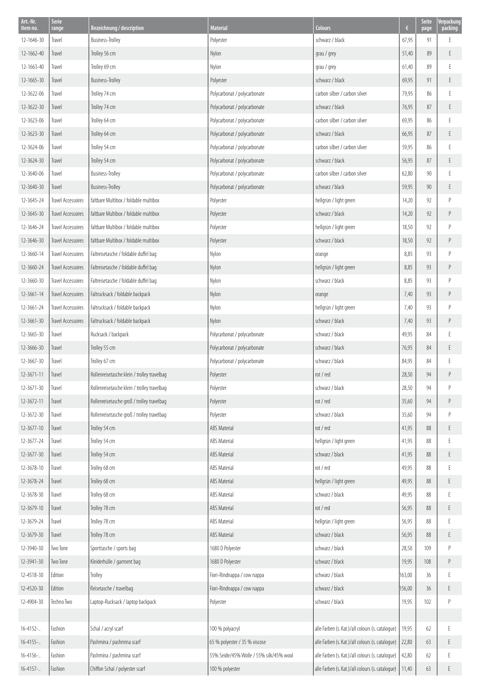| Art.-Nr.<br>item no. | <b>Serie</b><br>range     | Bezeichnung / description                   | <b>Material</b>                         | Colours                                          | €      | <b>Seite</b><br>page | Verpackung<br>packing                                                                                    |
|----------------------|---------------------------|---------------------------------------------|-----------------------------------------|--------------------------------------------------|--------|----------------------|----------------------------------------------------------------------------------------------------------|
| 12-1646-30           | Travel                    | Business-Trolley                            | Polyester                               | schwarz / black                                  | 67,95  | 91                   | E                                                                                                        |
| 12-1662-40           | Travel                    | Trolley 56 cm                               | Nylon                                   | grau / grey                                      | 51,40  | 89                   | E                                                                                                        |
| 12-1663-40           | Travel                    | Trolley 69 cm                               | Nylon                                   | grau / grey                                      | 61,40  | 89                   | E                                                                                                        |
| 12-1665-30           | Travel                    | <b>Business-Trolley</b>                     | Polyester                               | schwarz / black                                  | 69,95  | 91                   | E                                                                                                        |
| 12-3622-06           | Travel                    | Trolley 74 cm                               | Polycarbonat / polycarbonate            | carbon silber / carbon silver                    | 79,95  | 86                   | E                                                                                                        |
| 12-3622-30           | Travel                    | Trolley 74 cm                               | Polycarbonat / polycarbonate            | schwarz / black                                  | 76,95  | 87                   | E                                                                                                        |
| 12-3623-06           | Travel                    | Trolley 64 cm                               | Polycarbonat / polycarbonate            | carbon silber / carbon silver                    | 69,95  | 86                   | Ε                                                                                                        |
| 12-3623-30           | Travel                    | Trolley 64 cm                               | Polycarbonat / polycarbonate            | schwarz / black                                  | 66,95  | 87                   | E                                                                                                        |
| 12-3624-06           | Travel                    | Trolley 54 cm                               | Polycarbonat / polycarbonate            | carbon silber / carbon silver                    | 59,95  | 86                   | E                                                                                                        |
| 12-3624-30           | Travel                    | Trolley 54 cm                               | Polycarbonat / polycarbonate            | schwarz / black                                  | 56,95  | 87                   | E                                                                                                        |
| 12-3640-06           | Travel                    | Business-Trolley                            | Polycarbonat / polycarbonate            | carbon silber / carbon silver                    | 62,80  | 90                   | E                                                                                                        |
| 12-3640-30           | Travel                    | <b>Business-Trolley</b>                     | Polycarbonat / polycarbonate            | schwarz / black                                  | 59,95  | 90                   | E                                                                                                        |
| 12-3645-24           | <b>Travel Accessoires</b> | faltbare Multibox / foldable multibox       | Polyester                               | hellgrün / light green                           | 14,20  | 92                   | $\mathsf{P}$                                                                                             |
| 12-3645-30           | Travel Accessoires        | faltbare Multibox / foldable multibox       | Polyester                               | schwarz / black                                  | 14,20  | 92                   | P                                                                                                        |
| 12-3646-24           | Travel Accessoires        | faltbare Multibox / foldable multibox       | Polyester                               | hellgrün / light green                           | 18,50  | 92                   | $\mathsf{P}$                                                                                             |
| 12-3646-30           | Travel Accessoires        | faltbare Multibox / foldable multibox       | Polyester                               | schwarz / black                                  | 18,50  | 92                   | P                                                                                                        |
| 12-3660-14           | Travel Accessoires        | Faltreisetasche / foldable duffel bag       | Nylon                                   | orange                                           | 8,85   | 93                   | $\mathsf{P}$                                                                                             |
| 12-3660-24           | Travel Accessoires        | Faltreisetasche / foldable duffel bag       | Nylon                                   | hellgrün / light green                           | 8,85   | 93                   | P                                                                                                        |
| 12-3660-30           | Travel Accessoires        | Faltreisetasche / foldable duffel bag       | Nylon                                   | schwarz / black                                  | 8,85   | 93                   | $\mathsf{P}$                                                                                             |
| 12-3661-14           | Travel Accessoires        | Faltrucksack / foldable backpack            | Nylon                                   | orange                                           | 7,40   | 93                   | $\,P$                                                                                                    |
| 12-3661-24           | Travel Accessoires        | Faltrucksack / foldable backpack            | Nylon                                   | hellgrün / light green                           | 7,40   | 93                   | $\mathsf{P}$                                                                                             |
| 12-3661-30           | Travel Accessoires        | Faltrucksack / foldable backpack            | Nylon                                   | schwarz / black                                  | 7,40   | 93                   | $\,P$                                                                                                    |
| 12-3665-30           | Travel                    | Rucksack / backpack                         | Polycarbonat / polycarbonate            | schwarz / black                                  | 49,95  | 84                   | E                                                                                                        |
| 12-3666-30           | Travel                    | Trolley 55 cm                               | Polycarbonat / polycarbonate            | schwarz / black                                  | 76,95  | 84                   | E                                                                                                        |
| 12-3667-30           | Travel                    | Trolley 67 cm                               | Polycarbonat / polycarbonate            | schwarz / black                                  | 84,95  | 84                   | E                                                                                                        |
| 12-3671-11           | Travel                    | Rollenreisetasche klein / trolley travelbag | Polyester                               | rot / red                                        | 28,50  | 94                   | $\,P$                                                                                                    |
| 12-3671-30           | Travel                    | Rollenreisetasche klein / trolley travelbag | Polyester                               | schwarz / black                                  | 28,50  | 94                   |                                                                                                          |
| 12-3672-11           | Travel                    | Rollenreisetasche groß / trolley travelbag  | Polyester                               | rot / red                                        | 35,60  | 94                   | $\mathsf{P}% _{T}=\mathsf{P}_{T}\!\left( a,b\right) ,\mathsf{P}_{T}=\mathsf{P}_{T}\!\left( a,b\right) ,$ |
| 12-3672-30           | Travel                    | Rollenreisetasche groß / trolley travelbag  | Polyester                               | schwarz / black                                  | 35,60  | 94                   | P                                                                                                        |
| 12-3677-10           | Travel                    | Trolley 54 cm                               | ABS Material                            | rot / red                                        | 41,95  | 88                   | E                                                                                                        |
| 12-3677-24           | Travel                    | Trolley 54 cm                               | <b>ABS Material</b>                     | hellgrün / light green                           | 41,95  | 88                   | Ε                                                                                                        |
| 12-3677-30           | Travel                    | Trolley 54 cm                               | ABS Material                            | schwarz / black                                  | 41,95  | 88                   | E                                                                                                        |
| 12-3678-10           | Travel                    | Trolley 68 cm                               | <b>ABS Material</b>                     | rot / red                                        | 49,95  | 88                   | Ε                                                                                                        |
| 12-3678-24           | Travel                    | Trolley 68 cm                               | <b>ABS Material</b>                     | hellgrün / light green                           | 49,95  | 88                   | E                                                                                                        |
| 12-3678-30           | Travel                    | Trolley 68 cm                               | ABS Material                            | schwarz / black                                  | 49,95  | 88                   | E                                                                                                        |
| 12-3679-10           | Travel                    | Trolley 78 cm                               | ABS Material                            | rot / red                                        | 56,95  | 88                   | E                                                                                                        |
| 12-3679-24           | Travel                    | Trolley 78 cm                               | <b>ABS Material</b>                     | hellgrün / light green                           | 56,95  | 88                   | Ε                                                                                                        |
| 12-3679-30           | Travel                    | Trolley 78 cm                               | ABS Material                            | schwarz / black                                  | 56,95  | 88                   | E                                                                                                        |
| 12-3940-30           | Two Tone                  | Sporttasche / sports bag                    | 1680 D Polyester                        | schwarz / black                                  | 28,50  | 109                  | $\mathsf{P}$                                                                                             |
| 12-3941-30           | Two Tone                  | Kleiderhülle / garment bag                  | 1680 D Polyester                        | schwarz / black                                  | 19,95  | 108                  | P                                                                                                        |
| 12-4518-30           | Edition                   | Trolley                                     | Fiori-Rindnappa / cow nappa             | schwarz / black                                  | 163,00 | 36                   | E                                                                                                        |
| 12-4520-30           | Edition                   | Reisetasche / travelbag                     | Fiori-Rindnappa / cow nappa             | schwarz / black                                  | 156,00 | 36                   | E                                                                                                        |
| 12-4904-30           | Techno Two                | Laptop-Rucksack / laptop backpack           | Polyester                               | schwarz / black                                  | 19,95  | 102                  | P                                                                                                        |
|                      |                           |                                             |                                         |                                                  |        |                      |                                                                                                          |
| $16 - 4152 - $       | Fashion                   | Schal / acryl scarf                         | 100 % polyacryl                         | alle Farben (s. Kat.)/all colours (s. catalogue) | 19,95  | 62                   | E                                                                                                        |
| $16 - 4155 - $       | Fashion                   | Pashmina / pashmina scarf                   | 65 % polyester / 35 % viscose           | alle Farben (s. Kat.)/all colours (s. catalogue) | 22,80  | 63                   | E                                                                                                        |
| $16 - 4156 - $       | Fashion                   | Pashmina / pashmina scarf                   | 55% Seide/45% Wolle / 55% silk/45% wool | alle Farben (s. Kat.)/all colours (s. catalogue) | 42,80  | 62                   | E                                                                                                        |
| $16 - 4157 - $       | Fashion                   | Chiffon Schal / polyester scarf             | 100 % polyester                         | alle Farben (s. Kat.)/all colours (s. catalogue) | 11,40  | 63                   | E                                                                                                        |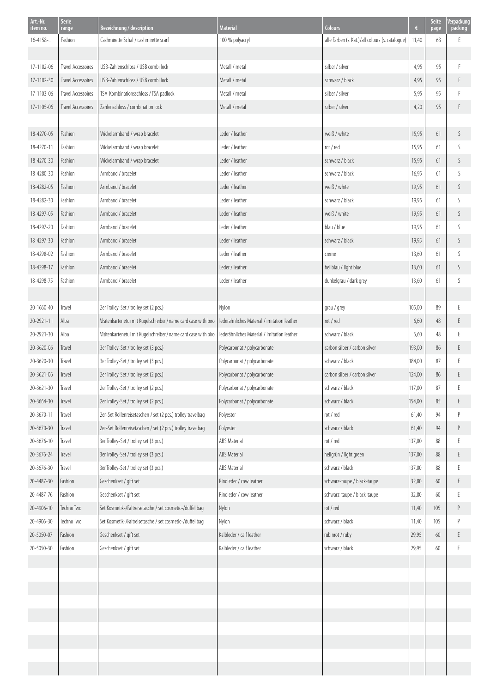| Art.-Nr.<br>item no. | Serie<br>range            | Bezeichnung / description                                       | <b>Material</b>                             | <b>Colours</b>                                   | $\epsilon$ | Seite<br>page | Verpackung<br>packing |
|----------------------|---------------------------|-----------------------------------------------------------------|---------------------------------------------|--------------------------------------------------|------------|---------------|-----------------------|
| 16-4158-             | Fashion                   | Cashmirette Schal / cashmirette scarf                           | 100 % polyacryl                             | alle Farben (s. Kat.)/all colours (s. cataloque) | 11,40      | 63            | F                     |
|                      |                           |                                                                 |                                             |                                                  |            |               |                       |
| 17-1102-06           | Travel Accessoires        | USB-Zahlenschloss / USB combi lock                              | Metall / metal                              | silber / silver                                  | 4,95       | 95            | F                     |
| 17-1102-30           | <b>Travel Accessoires</b> | USB-Zahlenschloss / USB combi lock                              | Metall / metal                              | schwarz / black                                  | 4,95       | 95            | F                     |
| 17-1103-06           | Travel Accessoires        | TSA-Kombinationsschloss / TSA padlock                           | Metall / metal                              | silber / silver                                  | 5,95       | 95            | F                     |
| 17-1105-06           | Travel Accessoires        | Zahlenschloss / combination lock                                | Metall / metal                              | silber / silver                                  | 4,20       | 95            | F                     |
|                      |                           |                                                                 |                                             |                                                  |            |               |                       |
| 18-4270-05           | Fashion                   | Wickelarmband / wrap bracelet                                   | Leder / leather                             | weiß / white                                     | 15,95      | 61            | S                     |
| 18-4270-11           | Fashion                   | Wickelarmband / wrap bracelet                                   | Leder / leather                             | rot / red                                        | 15,95      | 61            | S                     |
| 18-4270-30           | Fashion                   | Wickelarmband / wrap bracelet                                   | Leder / leather                             | schwarz / black                                  | 15,95      | 61            | S                     |
| 18-4280-30           | Fashion                   | Armband / bracelet                                              | Leder / leather                             | schwarz / black                                  | 16,95      | 61            | S                     |
| 18-4282-05           | Fashion                   | Armband / bracelet                                              | Leder / leather                             | weiß / white                                     | 19,95      | 61            | S                     |
| 18-4282-30           | Fashion                   | Armband / bracelet                                              | Leder / leather                             | schwarz / black                                  | 19,95      | 61            | S                     |
| 18-4297-05           | Fashion                   | Armband / bracelet                                              | Leder / leather                             | weiß / white                                     | 19,95      | 61            | S                     |
| 18-4297-20           | Fashion                   | Armband / bracelet                                              | Leder / leather                             | blau / blue                                      | 19,95      | 61            | S                     |
| 18-4297-30           | Fashion                   | Armband / bracelet                                              | Leder / leather                             | schwarz / black                                  | 19,95      | 61            | S                     |
| 18-4298-02           | Fashion                   | Armband / bracelet                                              | Leder / leather                             | creme                                            | 13,60      | 61            | S                     |
| 18-4298-17           | Fashion                   | Armband / bracelet                                              | Leder / leather                             | hellblau / light blue                            | 13,60      | 61            | S                     |
| 18-4298-75           | Fashion                   | Armband / bracelet                                              | Leder / leather                             | dunkelgrau / dark grey                           | 13,60      | 61            | S                     |
|                      |                           |                                                                 |                                             |                                                  |            |               |                       |
| 20-1660-40           | Travel                    | 2er Trolley-Set / trolley set (2 pcs.)                          | Nylon                                       | grau / grey                                      | 105,00     | 89            | E                     |
| 20-2921-11           | Alba                      | Visitenkartenetui mit Kugelschreiber / name card case with biro | lederähnliches Material / imitation leather | rot / red                                        | 6,60       | 48            | E                     |
| 20-2921-30           | Alba                      | Visitenkartenetui mit Kugelschreiber / name card case with biro | lederähnliches Material / imitation leather | schwarz / black                                  | 6,60       | 48            | E                     |
| 20-3620-06           | Travel                    | 3er Trolley-Set / trolley set (3 pcs.)                          | Polycarbonat / polycarbonate                | carbon silber / carbon silver                    | 193,00     | 86            | E.                    |
| 20-3620-30           | Travel                    | 3er Trolley-Set / trolley set (3 pcs.)                          | Polycarbonat / polycarbonate                | schwarz / black                                  | 184,00     | 87            | E                     |
| 20-3621-06           | Travel                    | 2er Trolley-Set / trolley set (2 pcs.)                          | Polycarbonat / polycarbonate                | carbon silber / carbon silver                    | 124,00     | 86            | E                     |
| 20-3621-30           | Travel                    | 2er Trolley-Set / trolley set (2 pcs.)                          | Polycarbonat / polycarbonate                | schwarz / black                                  | 117,00     | 87            | E.                    |
| 20-3664-30           | Travel                    | 2er Trolley-Set / trolley set (2 pcs.)                          | Polycarbonat / polycarbonate                | schwarz / black                                  | 154,00     | 85            | $\mathsf E$           |
| 20-3670-11           | Travel                    | 2er-Set Rollenreisetaschen / set (2 pcs.) trolley travelbag     | Polyester                                   | rot / red                                        | 61,40      | 94            | $\mathsf{P}$          |
| 20-3670-30           | Travel                    | 2er-Set Rollenreisetaschen / set (2 pcs.) trolley travelbag     | Polyester                                   | schwarz / black                                  | 61,40      | 94            | P                     |
| 20-3676-10           | Travel                    | 3er Trolley-Set / trolley set (3 pcs.)                          | <b>ABS Material</b>                         | rot / red                                        | 137,00     | 88            | Ε                     |
| 20-3676-24           | Travel                    | 3er Trolley-Set / trolley set (3 pcs.)                          | ABS Material                                | hellgrün / light green                           | 137,00     | 88            | E                     |
| 20-3676-30           | Travel                    | 3er Trolley-Set / trolley set (3 pcs.)                          | ABS Material                                | schwarz / black                                  | 137,00     | 88            | E                     |
| 20-4487-30           | Fashion                   | Geschenkset / gift set                                          | Rindleder / cow leather                     | schwarz-taupe / black-taupe                      | 32,80      | 60            | E                     |
| 20-4487-76           | Fashion                   | Geschenkset / gift set                                          | Rindleder / cow leather                     | schwarz-taupe / black-taupe                      | 32,80      | 60            | Ε                     |
| 20-4906-10           | Techno Two                | Set Kosmetik-/Faltreisetasche / set cosmetic-/duffel bag        | Nylon                                       | rot / red                                        | 11,40      | 105           | P                     |
| 20-4906-30           | Techno Two                | Set Kosmetik-/Faltreisetasche / set cosmetic-/duffel bag        | Nylon                                       | schwarz / black                                  | 11,40      | 105           | P                     |
| 20-5050-07           | Fashion                   | Geschenkset / gift set                                          | Kalbleder / calf leather                    | rubinrot / ruby                                  | 29,95      | 60            | Ε                     |
| 20-5050-30           | Fashion                   | Geschenkset / gift set                                          | Kalbleder / calf leather                    | schwarz / black                                  | 29,95      | 60            | E                     |
|                      |                           |                                                                 |                                             |                                                  |            |               |                       |
|                      |                           |                                                                 |                                             |                                                  |            |               |                       |
|                      |                           |                                                                 |                                             |                                                  |            |               |                       |
|                      |                           |                                                                 |                                             |                                                  |            |               |                       |
|                      |                           |                                                                 |                                             |                                                  |            |               |                       |
|                      |                           |                                                                 |                                             |                                                  |            |               |                       |
|                      |                           |                                                                 |                                             |                                                  |            |               |                       |
|                      |                           |                                                                 |                                             |                                                  |            |               |                       |
|                      |                           |                                                                 |                                             |                                                  |            |               |                       |